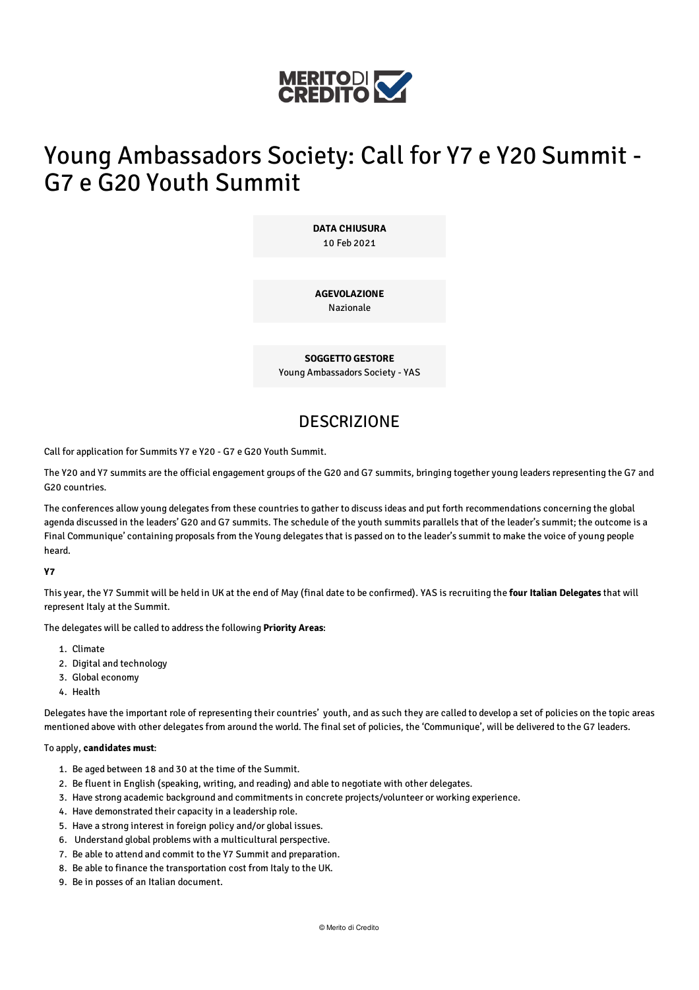

# Young Ambassadors Society: Call for Y7 e Y20 Summit - G7 e G20 Youth Summit

**DATA CHIUSURA** 10 Feb 2021

**AGEVOLAZIONE** Nazionale

**SOGGETTO GESTORE** Young Ambassadors Society - YAS

### **DESCRIZIONE**

Call for application for Summits Y7 e Y20 - G7 e G20 Youth Summit.

The Y20 and Y7 summits are the official engagement groups of the G20 and G7 summits, bringing together young leaders representing the G7 and G20 countries.

The conferences allow young delegates from these countries to gather to discuss ideas and put forth recommendations concerning the global agenda discussed in the leaders' G20 and G7 summits. The schedule of the youth summits parallels that of the leader's summit; the outcome is a Final Communique' containing proposals from the Young delegates that is passed on to the leader's summit to make the voice of young people heard.

#### **Y7**

This year, the Y7 Summit will be held in UK at the end of May (final date to be confirmed). YAS is recruiting the **four Italian Delegates** that will represent Italy at the Summit.

The delegates will be called to address the following **Priority Areas**:

- 1. Climate
- 2. Digital and technology
- 3. Global economy
- 4. Health

Delegates have the important role of representing their countries' youth, and as such they are called to develop a set of policies on the topic areas mentioned above with other delegates from around the world. The final set of policies, the 'Communique', will be delivered to the G7 leaders.

#### To apply, **candidates must**:

- 1. Be aged between 18 and 30 at the time of the Summit.
- 2. Be fluent in English (speaking, writing, and reading) and able to negotiate with other delegates.
- 3. Have strong academic background and commitments in concrete projects/volunteer or working experience.
- 4. Have demonstrated their capacity in a leadership role.
- 5. Have a strong interest in foreign policy and/or global issues.
- 6. Understand global problems with a multicultural perspective.
- 7. Be able to attend and commit to the Y7 Summit and preparation.
- 8. Be able to finance the transportation cost from Italy to the UK.
- 9. Be in posses of an Italian document.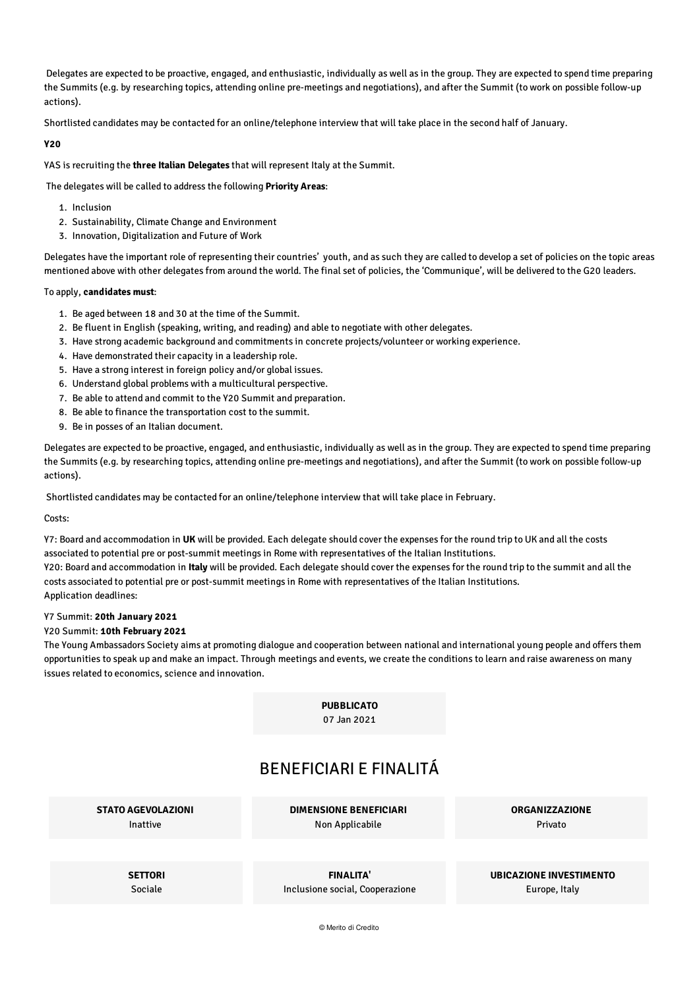Delegates are expected to be proactive, engaged, and enthusiastic, individually as well as in the group. They are expected to spend time preparing the Summits (e.g. by researching topics, attending online pre-meetings and negotiations), and after the Summit (to work on possible follow-up actions).

Shortlisted candidates may be contacted for an online/telephone interview that will take place in the second half of January.

#### **Y20**

YAS is recruiting the **three Italian Delegates** that will represent Italy at the Summit.

The delegates will be called to address the following **Priority Areas**:

- 1. Inclusion
- 2. Sustainability, Climate Change and Environment
- 3. Innovation, Digitalization and Future of Work

Delegates have the important role of representing their countries' youth, and as such they are called to develop a set of policies on the topic areas mentioned above with other delegates from around the world. The final set of policies, the 'Communique', will be delivered to the G20 leaders.

#### To apply, **candidates must**:

- 1. Be aged between 18 and 30 at the time of the Summit.
- 2. Be fluent in English (speaking, writing, and reading) and able to negotiate with other delegates.
- 3. Have strong academic background and commitments in concrete projects/volunteer or working experience.
- 4. Have demonstrated their capacity in a leadership role.
- 5. Have a strong interest in foreign policy and/or global issues.
- 6. Understand global problems with a multicultural perspective.
- 7. Be able to attend and commit to the Y20 Summit and preparation.
- 8. Be able to finance the transportation cost to the summit.
- 9. Be in posses of an Italian document.

Delegates are expected to be proactive, engaged, and enthusiastic, individually as well as in the group. They are expected to spend time preparing the Summits (e.g. by researching topics, attending online pre-meetings and negotiations), and after the Summit (to work on possible follow-up actions).

Shortlisted candidates may be contacted for an online/telephone interview that will take place in February.

Costs:

Y7: Board and accommodation in **UK** will be provided. Each delegate should cover the expenses for the round trip to UK and all the costs associated to potential pre or post-summit meetings in Rome with representatives of the Italian Institutions.

Y20: Board and accommodation in **Italy** will be provided. Each delegate should cover the expenses for the round trip to the summit and all the costs associated to potential pre or post-summit meetings in Rome with representatives of the Italian Institutions. Application deadlines:

#### Y7 Summit: **20th January 2021**

#### Y20 Summit: **10th February 2021**

The Young Ambassadors Society aims at promoting dialogue and cooperation between national and international young people and offers them opportunities to speak up and make an impact. Through meetings and events, we create the conditions to learn and raise awareness on many issues related to economics, science and innovation.

> **PUBBLICATO** 07 Jan 2021

### BENEFICIARI E FINALITÁ

**STATO AGEVOLAZIONI** Inattive

**DIMENSIONE BENEFICIARI** Non Applicabile

**ORGANIZZAZIONE** Privato

**SETTORI** Sociale

**FINALITA'** Inclusione social, Cooperazione **UBICAZIONE INVESTIMENTO** Europe, Italy